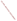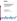

# **Environmental Technology Verification Program** Advanced Monitoring Systems Center

Test/QA Plan for Verification of Immunoassay Test Kits

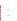# **TEST/QA PLAN**

**for** 

# **Verification of Immunoassay Test Kits**

**January 2004** 

**Prepared by** 

**Battelle 505 King Avenue Columbus, OH 43201-2693**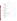# **TABLE OF CONTENTS**

| 4.1 Test Sample Collection, Preparation, and Storage  17 |  |
|----------------------------------------------------------|--|
|                                                          |  |
| 4.3 Sample Analysis                                      |  |
|                                                          |  |
|                                                          |  |
|                                                          |  |
|                                                          |  |
|                                                          |  |
|                                                          |  |
|                                                          |  |
|                                                          |  |
|                                                          |  |
|                                                          |  |

 $1.0.7...$ 

#### Page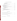# **TABLE OF CONTENTS (CONTINUED)**

| 7.2 Laboratory Handling During Verification Testing  28 |  |
|---------------------------------------------------------|--|
|                                                         |  |
|                                                         |  |

# **LIST OF TABLES**

# **LIST OF FIGURES**

|--|--|--|--|--|--|--|--|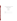# **ETV ADVANCED MONITORING SYSTEMS CENTER**

Test/QA Plan for Verification of Immunoassay Test Kits

Version 1

January 2004

APPROVAL:

Name \_\_\_\_\_\_\_\_\_\_\_\_\_\_\_\_\_\_\_\_\_\_\_\_\_\_\_\_\_\_\_\_\_\_

Company \_\_\_\_\_\_\_\_\_\_\_\_\_\_\_\_\_\_\_\_\_\_\_\_\_\_\_\_\_\_\_

Date \_\_\_\_\_\_\_\_\_\_\_\_\_\_\_\_\_\_\_\_\_\_\_\_\_\_\_\_\_\_\_\_\_\_\_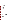#### **DISTRIBUTION LIST**

Dan Faubion Chief Executive Officer Osborn Scientific Group P.O. Box 870/1920 W. Commerce Drive Lakeside, AZ 85929

Jill White Director, Industrial and Biodefense Programs IGEN International, Inc. 16020 Industrial Drive Gaithersburg, MD 20877

Dr. Tom O'Brien Vice President/Senior Scientist Tetracore, Inc. 11 Firstfield RD Suite C Gaithersburg, MD 20878

Joanne Stephenson Vice President, Business Development Response Biomedical Corp. 8081 Lougheed Highway Burnaby, BC Canada V5A 1W9

Elizabeth A. Betz U.S. Environmental Protection Agency-**HEASD** National Exposure Research Laboratory E205-01 EPA Mailroom Research Triangle Park, NC 27711

Robert Fuerst U.S. Environmental Protection Agency-**HEASD** National Exposure Research Laboratory D205-05 EPA Mailroom Research Triangle Park, NC 27711

Karen Riggs Amy Dindal Ryan James Zachary Willenberg Battelle 505 King Ave. Columbus, OH 43201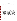#### **1.0 INTRODUCTION**

#### **1.1 Test Objective**

This test/quality assurance (QA) plan provides procedures for a performance verification test of immunoassay test kits for the analysis of biological toxins and agents in drinking and distilled water, under a specific set of test conditions. The verification test will be conducted under the auspices of the U.S. Environmental Protection Agency (EPA) through the Environmental Technology Verification (ETV) Program. The purpose of ETV is to provide objective and quality-assured performance data on environmental technologies so that users, developers, regulators, and consultants can make informed decisions about purchasing and applying these technologies. The objective of this verification test of immunoassay test kits is to evaluate their ability to rapidly detect specific biological toxins and agents that are particularly toxic to humans and their susceptibility to interferents in several drinking water matrices.

#### **1.2 Test Description**

The verification test will be performed by Battelle, which is managing the ETV Advanced Monitoring Systems (AMS) Center through a cooperative agreement with EPA. The scope of the AMS Center covers verification of monitoring technologies for contaminants and natural species in air, water, and soil. In performing the verification test, Battelle will follow the procedures specified in this test/QA plan and will comply with the data quality requirements in the "Quality Management Plan for the ETV Advanced Monitoring Systems Center" (AMS QMP)<sup>1</sup>.

Immunoassay test kits are based on immunoassay methods, where specific antibodies are used to detect and measure the contaminants of interest. As seen in Equation 1, immunoassay test kits rely on the reaction of a contaminant or antigen (Ag) with a selective antibody (Ab) to give a product that can be measured (AbAg).

$$
Ag + Ab \leftrightarrow AbAg \tag{1}
$$

Many types of labels including enzymes, fluorescence, phosphorescence, electrochemiluminescence, and chemiluminescence have been used for quantifying the assay. The sample concentration can be either directly or inversely proportional to color intensity, depending on the technology. Results from these methods can be qualitative or quantitative. While there are several types of immunoassays, enzyme-linked immunoabsorbent assays are most common.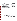The test will determine the accuracy and precision of immunoassay test kits in detecting selected biological toxins and agents in American Society of Testing and Materials (ASTM) Type II deionized (DI) water, in the presence of possible interferents added to ASTM Type II DI water, and in drinking water obtained from a variety of geographically dispersed U.S. water utilities that use various water treatment processes. Qualitative characteristics of each immunoassay test kit, such as ease of use, sample throughput, and cost, will also be assessed and reported. While most of the testing will occur in a laboratory, the immunoassay test kits that are designed for field use will be tested outside of the laboratory. To evaluate the applicability of these immunoassay test kits for use by non-technically trained individuals outside the laboratory, a non-technical operator without experience in using the kits will perform the tests with little training and with no assistance from the experienced operator.

### **1.3 Organization and Responsibility**

The verification test will be performed by Battelle, with the participation of the vendors who will be having the performance of their immunoassay test kits verified. The testing will occur at Battelle's West Jefferson, Ohio, laboratories and at a non-laboratory (i.e., field) location in the Columbus, Ohio, area. The organization chart in Figure 1 identifies the responsibilities of the organizations and individuals associated with the verification test. Roles and responsibilities are defined further below.

## **1.3.1 Battelle**

Dr. Ryan James is the AMS Center Verification Test Coordinator. In this role, Dr. James will have overall responsibility for ensuring that the technical, schedule, and cost goals established for the verification test are met. Specifically, he will

- Assemble a team of qualified technical staff to conduct the verification test.
- Direct the team performing the verification test in accordance with the test/QA plan.
- Ensure that all quality procedures specified in the test/QA plan and in the AMS QMP are followed.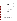

**Figure 1. Organization Chart** 

- Prepare the draft and final test/QA plan, verification reports, and verification statements.
- Exercise the draft test/QA plan, verification reports, and verification statements in response to reviewers' comments.
- Respond to any issues raised in assessment reports and audits, including instituting corrective action as necessary.
- Serve as the primary point of contact for vendor representatives.
- Coordinate distribution of the final test/QA plan, verification reports, and statements.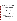- Establish a budget for the verification test and monitor staff effort to ensure that budget is not exceeded.
- Ensure that confidentiality of vendor information is maintained.

Ms. Amy Dindal is a Verification Testing Leader for the AMS Center. Ms. Dindal will provide technical guidance and oversee the various stages of verification testing. She will

- Support Dr. James in preparing the test/QA plan and organizing the testing.
- Review the draft and final test/ $QA$  plan.
- Review the draft and final verification reports and verification statements.

Ms. Karen Riggs is Battelle's manager for the AMS Center. Ms. Riggs will

- Review the draft and final test/QA plan.
- Review the draft and final verification reports and verification statements.
- Ensure that necessary Battelle resources, including staff and facilities, are committed to the verification test.
- Ensure that vendor confidentiality is maintained.
- Support Dr. James in responding to any issues raised in assessment reports and audits.
- Maintain communication with EPA's technical and quality managers.
- Facilitate a stop work order if Battelle or EPA QA staff discovers adverse findings that will compromise test results.

Battelle Technical Staff will conduct the testing of the immunoassay test kits during the verification test. The responsibilities of the technical staff will be to

- Assist in the collection, receipt, and storage of drinking water samples.
- Prepare drinking water samples, as required for analysis.
- Prepare the stock solutions and the test samples as required.
- Perform the immunoassay test kit analyses by following the vendor's protocol.
- Make qualitative observations about the operation of the immunoassay test kit.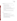Mr. Zachary Willenberg is Battelle's Quality Manager for the AMS Center. Mr.Willenberg will

- Review the draft and final test/ $QA$  plan.
- Conduct a technical systems audit once during the verification test, or designate another QA manager to conduct the audit.
- Audit at least 10% of the verification data.
- Prepare and distribute an assessment report for each audit.
- Verify implementation of any necessary corrective action.
- Issue a stop work order if self audits indicate that data quality is being compromised; notify Battelle's AMS Center Manager if a stop work order is issued.
- Provide a summary of the QA/ quality control (QC) activities and results for the verification reports.
- Review the draft and final verification reports and verification statements.
- Assume overall responsibility for ensuring that the test/QA plan is followed.

# **1.3.2 Vendors**

The responsibilities of the vendor representatives are as follows:

- Review the draft test/ $QA$  plan.
- Approve the test/ $QA$  plan prior to test initiation.
- Provide off-the-shelf immunoassay test kits for analysis of all verification test samples.
- Provide all other equipment needed to complete the immunoassay analyses.
- As desired, provide training to Battelle personnel on operating the immunoassay test kits and associated equipment prior to testing.
- Provide written instructions for operation of test kit.
- Review the draft verification report and statement.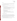# **1.3.3 EPA**

EPA's responsibilities in the AMS Center are based on the requirements stated in the "Environmental Technology Verification Program Quality Management Plan" (EPA QMP)<sup>2</sup>. The roles of the specific EPA staff are as follows:

Ms. Elizabeth Betz is EPA's AMS Center Quality Manager. For the verification test, Ms.Betz will

- Review the draft test/ $QA$  plan.
- Perform at her option one external technical system audit during the verification test.
- Notify the EPA AMS Center Manager of the need for a stop work order if external audit indicates that data quality is being compromised.
- Prepare and distribute an assessment report summarizing results of external audit.
- Review draft verification reports and statements.

Mr. Robert Fuerst is EPA's manager for the AMS Center. Mr. Fuerst will

- Review the draft test/QA plan.
- Approve the final test/QA plan.
- Review the draft verification reports and statements.
- Oversee the EPA review process for the verification reports and statements.
- Coordinate the submission of verification reports and statements for final EPA approval.

#### **1.3.4 Supporting Organizations**

When methods are available, the stock solution concentrations of contaminants and interferents will be confirmed. Physio-chemical characterization including turbidity, organic carbon, specific conductivity, alkalinity, pH, hardness, total organic halides, trihalomethanes and haloacetic acids (Table 3) will be performed for all drinking water samples. Battelle will establish a subcontract with Aqua Tech Environmental Laboratories, Inc. (hereafter called subcontract laboratory) to perform the analyses.

The Metropolitan Water District of Southern California will concentrate each drinking water sample by a factor of 400 using ultrafiltration contraction techniques.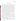#### **2.0 VERIFICATION APPROACH**

#### **2.1 Scope of Testing**

This test/QA plan specifically addresses verification of immunoassay test kits that provide qualitative or quantitative measurements of ricin, botulinum toxin, and anthrax in drinking water. The contaminants were selected based on the capabilities of the kits being tested. Immunoassay test kits that provide qualitative results only indicate the presence or absence of the contaminants within a specified concentration interval, while immunoassay test kits that provide quantitative results report concentrations using a digital display or an electronic output signal. The vendor will specify in which category their immunoassay test kit should be included and which contaminants the immunoassay test kit is designed to detect. Each technology will be verified only for contaminants for which they are designed to detect. The immunoassay test kits will be verified by subjecting them to various concentration levels of individual contaminants in ASTM Type II DI water, a single concentration of contaminant in the presence of possible interferents (i.e., magnesium and calcium, fulvic and humic acids, biological analogues) spiked into ASTM Type II DI water, and a single concentration of each contaminant spiked into drinking water samples obtained from four water utilities from different geographical locations in the United States. Each source of water will represent a unique water treatment process. Also, both the possible interferent samples and the drinking water matrices will be analyzed without the addition of any contaminant to evaluate the potential for false positive results. The performance of each immunoassay test kit will be evaluated by comparing the immunoassay test kit results with known concentrations of spiked contaminants.

Both the quantitative and qualitative immunoassay test kits are designed to be operated by users with little technical training. Because the verification test involves a multi-step process, both types of immunoassay test kits will probably yield more consistent and reliable results when operated by users familiar with performing these tests. Therefore, for this verification test, technical operators, i.e., operators with a degree in biology or chemistry, that have been trained by the vendor in the operation of the test kits, will analyze all the test samples. However, outside the laboratory, a non-technical operator, i.e., an operator with little or no scientific training and with no assistance or training from the vendor, will also perform the test using only the written instructions or manual provided by the vendor.

A variety of natural and contaminant-fortified water samples (i.e., unspiked and spiked) will be analyzed using the immunoassay test kits. These matrices are examples of drinking water types that could be monitored using immunoassay test kits; however, this is not intended to be an exhaustive study or to represent all possible water types that could be tested.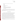The immunoassay test kits will be evaluated for the following parameters:

- Accuracy
- **Precision**
- Linearity
- Method detection limit (MDL)
- Cross reactivity
- Matrix effects
- Occurrence of false positives and false negative results
- Field portability by technical and non-technical operator
- Ease of use by technical and non-technical operator
- Sample throughput.

Qualitative immunoassay test kits will not be evaluated for linearity or MDL because they only provide a positive or negative result relative to a specified concentration level. However, the lowest concentration PT sample to produce consistently positive results will be reported as an approximate detection limit.

#### **2.2 Experimental Design**

This verification test will determine the performance capability of the immunoassay test kits to detect individual contaminants in three types of samples—performance test (PT), drinking water (DW), and quality control (QC). PT samples will include all the samples prepared in ASTM Type II DI water. The contaminant PT samples will be fortified with individual contaminants at four concentrations. Concentrations will range from the lethal dose concentration given in Table 1 for each contaminant to approximately 50 times the vendor reported detection limit (LOD) of each technology. The lethal dose of each contaminant will be determined by calculating the concentration at which 250 mL of water would probably cause the death of a 154-pound person based on human LD50 data. The results from triplicate analysis of the contaminant PT samples and comparison with the known concentrations will provide information on accuracy, precision, and linearity of the immunoassay test kits. The MDL of each immunoassay test kit will be determined by analyzing seven replicates of PT sample containing a concentration of each individual contaminant approximately five times greater than the LOD provided by the vendor.

One type of interferent PT samples will consist of calcium and magnesium and humic and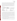fulvic acid at two concentrations, both spiked and unspiked with each contaminant. Another type of interferent PT sample will test the suseptibility of the immunoassay test kits to producing positive results in response to compounds or spores structurally and functionally similar to the target contaminants. This will be assessed by analyzing samples that contain only the potentially cross reactive compound or spore. These will include: (1) *Bacillus thuringiensis*, a sporeforming bacteria similar to *Bacillus anthracis*, which causes anthrax; (2) lectin from soybean (a lectin similar to ricin); and (2) lipopolysacharide (an extract from gram negative bacteria, indicative of general groups of organisms found in water that could falsely indicate the presence of botulinum toxin).

| o                                          |                                            |                                               |  |
|--------------------------------------------|--------------------------------------------|-----------------------------------------------|--|
| <b>Contaminant</b>                         | <b>Lethal Dose</b><br><b>Concentration</b> | <b>Source of Contaminant</b>                  |  |
| Bacillus anthracis<br>(anthrax)            | $200,000$ spores/L                         | <b>United States Government</b>               |  |
| Botulinum toxin<br>Complex Type B          | $0.3 \text{ mg/L}$                         | Metabiologics, Inc. (Madison,<br>WI)          |  |
| Ricinus communis<br>Agglutinin $II(Ricin)$ | $15 \text{ mg/L}$                          | Vector Laboratories, Inc.<br>(Burlingame, CA) |  |

**Table 1. Lethal Dose of Target Contaminants** 

DW samples will be collected from four water systems that get water from various sources and employ different treatment processes. The DW samples disinfected by chlorination will be obtained from surface (filtered and unfiltered) and groundwater sources. A DW sample from a surface water source disinfected by chloramination will also be collected. Each of these water samples will be analyzed in triplicate, both unspiked and spiked with each contaminant at a single concentration level approximately 10 times greater than the detection limit of the immunoassay test kit. These same water samples will be concentrated by a factor of 400 at the Metropolitan Water District of Southern California using their ultrafiltration concentration system and analyzed in the manner described above to evaluate the performance of the immunoassay test kits when analyzing in a concentrated drinking water matrix.

Quality control samples will include method blanks consisting of unspiked ASTM Type II DI water and positive controls. Positive control samples will be prepared in ASTM Type II DI water with a known concentration of a toxin specified by the vendor and will be used as a quality check to ensure immunoassay test kit performance.

Performance parameters, such as ease of use and reliability, will be based on documented observations of the operators by the Verification Test Coordinator. Sample throughput will be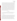estimated based on the time required to analyze a sample set. All immunoassay test kits will be tested in the laboratory; applicable immunoassay test kits will be analyzed for their performance and ease of use outside of the laboratory. Because the contaminants of interest cannot be safely handled outside of the surety laboratory, the samples analyzed in the field will be method blank samples and non-toxic positive control samples if provided by the vendor. Both a technical and a non-technical, first-time user will perform analyses in the field. The only guidance the nontechnical, first-time user will receive is from the manual or instructions provided by the vendor.

Given the agent facility restrictions, vendors will not be able to operate their immunoassay test kits during this verification test. Each immunoassay test kit will be operated by a Battelle staff member and tested independently. All technical operators will have a bachelor's degree in the sciences or equivalent work experience. The vendor will train the operators by means of a visit to Battelle or a conference call prior to starting the verification test and then will be asked to sign a consent form stating the names of the Battelle staff they have trained. Each operator will manipulate the water samples and reagents to generate solutions that can be analyzed by the immunoassay test kits. More than one operator may be used by Battelle, but operators will be restricted to only operating immunoassay test kits on which they have been trained by either the vendor or a Battelle staff trained by the vendor.

#### **2.3 Test Samples**

Test samples to be used in this verification test will include PT samples, DW samples, and QC samples. Table 2 lists the number and type of each sample to be analyzed for each contaminant in the verification test. Each type of test sample is described further below.

#### **2.3.1 PT Samples**

PT sample types (listed in Table 2) will be prepared from ASTM Type II DI water. The first type of PT sample will consist of ASTM Type II DI water spiked at four concentration levels of each individual contaminant. The PT sample concentrations will range from the lethal dose concentration to 50 times the vendor-stated LOD. The lethal dose concentration will be analyzed to document the response of each technology at that important concentration level. Three concentration levels in addition to the lethal dose concentration will be analyzed by each technology. Those concentration levels will be approximately 5, 10, and 50 times the LOD of each individual technology. The maximum concentrations will be limited by the available standards. These maximum concentrations for each contaminant are as follows: for ricin, 5,000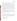mg/L, for botulinum toxin, 1,000 mg/L, and for anthrax,  $10^9$  spores/mL. Three replicates of each PT sample will be analyzed using the immunoassay test kits.

The second type of PT sample will be used to determine the MDL of each quantitative immunoassay test kit. Seven replicates of a contaminant sample prepared to be approximately five times greater than the LOD will be analyzed and the precision of the results used for the MDL determination. The third type of PT sample will be potential interferent samples. One sample will contain calcium and magnesium from carbonates and the second humic and fulvic acids isolated from the Suwanee River (obtained from the International Humic Substances Society) spiked into ASTM Type II DI water. Each of these contaminant mixtures will be prepared at two different concentration levels. One concentration will be near the upper limit of what would be expected in drinking water and one concentration at a mid-low range of what would be expected. Three replicates of each interferent PT sample will be analyzed to determine each immunoassay test kit's susceptibility to commonly found interferences in DW. Also, each contaminant will be added to these samples along with the potential interferents, at a concentration of 10 times the LOD and analyzed in triplicate.

The fourth type of PT sample will be a cross-reactivity check sample. *Bacillus thuringiensis* (for anthrax), lectin from soybean (for ricin), and lipopolysacharide (for botulinum toxin), all biologically similar to the specified targets, will be prepared in ASTM Type II DI water at concentrations equivalent to 10 times the LOD of the test kits. Three replicates of each crossreactivity check sample will be analyzed using the immunoassay test kits to determine if there are false positive results in response to these similar bacteria.

#### **2.3.2 Drinking Water Samples**

Drinking water samples will be collected from four geographically distributed municipal sources to evaluate the performance of the immunoassay test kits with various sample matrices. These samples will vary in their source and treatment and disinfection process. All samples will have undergone either chlorination or chloramination disinfection prior to receipt. Samples will be collected from water utility systems with the following treatment and source characteristics:

- Chlorinated filtered surface water source
- Chlorinated unfiltered surface water source
- Chlorinated groundwater source
- Chloraminated filtered surface water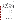All samples will be collected in pre-cleaned high density polyethylyne (HDPE) containers. After sample collection, to characterize the DW matrix, an aliquot of each DW sample will be sent to a subcontract laboratory to determine the following water quality parameters: concentration of trihalomethanes, haloacetic acids, total organic halides, calcium, magnesium, pH, conductivity, alkalinity, turbidity, organic carbon, and hardness. Because chlorine can degrade some of the contaminants, the DW samples will be dechlorinated with sodium thiosulfate pentahydrate prior to use. To evaluate the effect of a concentrated DW matrix on the immunoassay test kits performance, approximately 100 L of each of the above sources of DW will be dechlorinated and then concentrated through ultrafiltration techniques to a final volume of 250 mL. As shown in Table 2, each DW sample (non-concentrated and concentrated) will be analyzed without adding any contaminant, as well as after fortification with each individual contaminant at a single concentration level (10 times greater than the vendor-stated LOD).

| <b>Performance Test</b> | <b>Performance Factor</b>             | <b>Sample Description</b>                                                                               | <b>Reps</b> |
|-------------------------|---------------------------------------|---------------------------------------------------------------------------------------------------------|-------------|
| <b>ASTM Type II DI</b>  | Accuracy, Precision,                  | Contaminant PT sample @ Lethal Dose                                                                     | 3           |
| Water                   | Linearity <sup>(a)</sup>              | Contaminant PT sample $@$ 5 times the $LOD^{(b)}$                                                       | 3           |
|                         |                                       | Contaminant PT sample @ 10 times the LOD                                                                | 3           |
|                         |                                       | Contaminant PT sample @ 50 times the LOD                                                                | 3           |
|                         | Method Detection Limit <sup>(a)</sup> | Contaminant MDL sample $@$ 5 times the LOD                                                              | 7           |
|                         | Interferent                           | Calcium and Magnesium $@$ 50 mg/L                                                                       | 3           |
|                         |                                       | Calcium and magnesium $@$ 50 mg/L +<br>contaminant $@$ 10 times the LOD                                 | 3           |
|                         |                                       | Calcium and magnesium $@$ 250 mg/L                                                                      | 3           |
|                         |                                       | Calcium and magnesium $@$ 250 mg/L +<br>contaminant $@$ 10 times the LOD                                | 3           |
|                         |                                       | Fulvic and humic acids @ a total concentration of<br>$1 \text{ mg/L}$                                   | 3           |
|                         |                                       | Fulvic and humic acids $@$ a total concentration of<br>$1 mg/L + \text{contaminant}$ @ 10 times the LOD | 3           |
|                         |                                       | Fulvic and humic acids $@5mg/L$                                                                         | 3           |
|                         |                                       | Fulvic and humic acids $@5mg/L + \text{contaminant}$<br>@ 10 times the LOD                              | 3           |
|                         | <b>Cross Reactivity</b>               | Bacillus thuringiensis (anthrax)<br>Lectin from soybean (ricin)<br>Lipopolysacharide (botulinum toxin)  | 3           |

**Table 2. Summary of Test Samples for Immunoassay Test Kit Verification**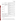|                              | Ease of Use, Field                                      | Technical operator analysis of method blank                    | 3              |
|------------------------------|---------------------------------------------------------|----------------------------------------------------------------|----------------|
|                              | Portability                                             | Non-technical first-time user analysis of method<br>blank      | $\overline{3}$ |
| <b>Drinking Water</b>        | <b>Performance Factor</b>                               | <b>Sample Description</b>                                      | <b>Reps</b>    |
| Filtered chlorinated         | Accuracy, Precision,                                    | Unspiked                                                       | 3              |
| surface water                | Linearity, Matrix Effects,<br>False Positives and False | Spiked with contaminant @ 10 times the LOD                     | 3              |
|                              | <b>Negatives</b>                                        | Concentrated unspiked                                          | 3              |
|                              |                                                         | Concentrated and spiked with contaminant @ 10<br>times the LOD | 3              |
| Unfiltered                   |                                                         | Unspiked                                                       | 3              |
| chlorinated surface<br>water |                                                         | Spiked with contaminant @ 10 times the LOD                     | 3              |
|                              |                                                         | Concentrated unspiked                                          | 3              |
|                              |                                                         | Concentrated and spiked with contaminant @ 10<br>times the LOD | 3              |
| Filtered chlorinated         |                                                         | Unspiked                                                       | 3              |
| surface water                |                                                         | Spiked with contaminant @ 10 times the LOD                     | $\mathfrak{Z}$ |
|                              |                                                         | Concentrated unspiked                                          | 3              |
|                              |                                                         | Concentrated and spiked with contaminant @ 10<br>times the LOD | 3              |
| Filtered<br>chloraminated    |                                                         | Unspiked                                                       | 3              |
| surface water                |                                                         | Spiked with contaminant @ 10 times the LOD                     | $\overline{3}$ |
|                              |                                                         | Concentrated unspiked                                          | 3              |
|                              |                                                         | Concentrated and spiked with contaminant @ 10<br>times the LOD | 3              |
| <b>Quality Control</b>       | <b>Performance Factor</b>                               | <b>Sample description</b>                                      | <b>Reps</b>    |
| Method Blank                 | <b>Quality Check</b>                                    | DI water - 10% of all samples                                  | 10             |
| <b>Positive Control</b>      | <b>Quality Check</b>                                    | Contaminant in DI water - 5% of all samples                    | 5              |
|                              |                                                         |                                                                |                |
|                              | Approximate total number of samples per contaminant     |                                                                | 115            |

(a) Not determined for qualitative immunoassay test kits.

(b) LOD in all cases is limit of detection provided by the vendor for their immunoassay test kit.

#### **2.3.3 QC Samples**

QC samples will include method blank (MB) samples consisting of ASTM Type II DI water, and positive control (PC) samples, consisting of ASTM Type II DI water fortified with a known contaminant at a concentration and type selected by the vendor All of the QC samples will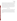be prepared from ASTM Type II DI water and will be exposed to identical sample preparation and analysis procedures as the test samples. The MB samples will be used to ensure that no sources of contamination are introduced in the sample handling and analysis procedures. At least 10% of the test samples will be MB samples. The PC samples will indicate to the operator whether the immunoassay test kit is functioning properly. If the immunoassay test kit is qualitative in nature, a positive result will be adequate for the operator to be assured of the proper functioning of the immunoassay test kit. If the immunoassay test kit is quantitative in nature, the vendor will provide acceptable control limits for results in which no corrective action will have to be taken. If the results are outside these control limits, the vendor will be contacted to find out if corrective action is necessary. PC samples will account for approximately 5% of all the test samples. The test samples will be analyzed blindly by the technical operator.

#### **2.4 Reference Method**

Standard laboratory reference methods do not exist for ricin or botulinum toxin. To ensure the accuracy of sample concentrations of ricin and botulinum toxin, QA oversight of the solution preparation in the form of audits, and purity tracking of standards will be performed. Section 6.0 describes the QA/QC procedures for this test. For anthrax, a plate enumeration technique of quantifying bacteria will be followed to confirm the concentration of the stock solution of these contaminants on a daily basis. The Battelle standard operating procedure (SOP) to be followed is SOP No: MERF X-0544 "Enumeration of BL-2 and BL-3 Bacteria Samples Via the Spread Plate Technique."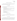# **3.0 MATERIALS AND EQUIPMENT**

In general, this verification test will rely on immunoassay test kit materials and equipment provided by the vendors. Battelle will provide the following equipment and materials for the collection, preparation, storage, and shipment of test samples.

# **3.1 Testing Supplies**

The following supplies will be needed throughout testing for sample collection and preparation of the DW and QC samples:

- ASTM Type II DI water
- Various laboratory supplies necessary for accurate preparation of the test samples (i.e., volumetric pipettes, pipet bulbs, Eppendorf micro pipettes/pipette tips, volumetric flasks, disposable pipettes, etc.)
- 25-L HDPE containers for sample collection and shipment
- Various smaller sizes of pre-cleaned HDPE and glass containers for sample aliquot storage
- Standards of contaminant and interferents with a known level of purity (NIST) traceable or equivalent)
- Sodium thiosulfate pentahydrate
- n,n-diethyl-p-phenylenediamine (DPD) tablet
- Personal protective equipment.

# **3.2 Field Analysis Supplies**

For the analysis of the method blank samples in the field, Battelle will provide only the water used for analysis. The operators will depend on only supplies provided by the vendor to analyze the samples.

# **3.3 Special Facilities**

All of the contaminants to be evaluated in this verification test (botulinum toxin, ricin, and anthrax) can only be handled in laboratories that are specially designed and certified for the use of chemical and biological agents and by operators who are trained in their use. Battelle's Medical Research and Evaluation Facility (MREF), which is a Department of Defense laboratory-scale facility conducting research with chemical and biological agents, will provide the facilities and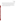staff for verification testing of the specified contaminants. The MREF is licensed to ship, receive, and handle select agents, as defined by the Centers for Disease Control and Prevention (CDC)<sup>5</sup>. The facility maintains state-of-the-art equipment and professional and technical staffing expertise to safely conduct testing and evaluation of hazardous chemical and biological materials.

The MREF and its personnel have the demonstrated capability for storing and safely handling botulinum toxin, ricin, and anthrax. Biological agent use will be according to the CDC Select Agents Program  $(32 \text{ CFR } 626 \text{ and } 627)^5$  administered through the Biological Defense Research Program and the Battelle MREF Facility Safety Plan.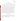# **4.0 PROCEDURES**

#### **4.1 Test Sample Collection, Preparation, and Storage**

Stock solutions of each contaminant and interferent will be prepared in ASTM Type II DI water from certified standards. The concentration of the anthrax stock solutions will be confirmed daily using plate enumeration method. The ricin and botulinum toxin solutions will be prepared daily.

PT and QC samples will be prepared in ASTM Type II DI water using the aforementioned stock solutions. Aliquots of each stock solution will be diluted to the appropriate concentration using volumetric pipets and glassware. The DW samples will be collected as described in Section 2.3.2. Because free chlorine will degrade many of the contaminants and interferences during storage, the sample will be immediately dechlorinated with sodium thiosulfate pentahydrate (or other dechlorination reagents as per vendor protocol). The dechlorination of the DW will be qualitatively confirmed by adding a diethyl-p-phenylene diamine (DPD) tablet to an aliquot of DW. If the water does not turn pink, the dechlorination process will be determined to be successful. If the water does turn pink, an additional dechlorinating reagent will be added and the dechlorination confirmation procedure will be repeated. Once dechlorination is confirmed, 100 L of each DW sample will be concentrated as described previously, and approximately 25 L will remain unconcentrated. The dechlorinated concentrated and native DW samples will be analyzed unspiked and spiked. Aliquots of each stock solution will be diluted to the appropriate concentration using volumetric pipets and glassware and with each DW sample as the dilution solvent. All spiked DW samples will be analyzed on the same day as they are prepared.

#### **4.2 Sample Identification**

Aliquots to be analyzed by each immunoassay test kit will be drawn from the PT, QC or DW samples and placed in sample containers with unique identification (ID) numbers. A master log of the samples and sample ID numbers for each immunoassay test kit will be maintained by Battelle. The ID number, date, person collecting, sample location, and time of collection will be recorded on a chain-of-custody form for all field samples.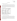#### **4.3 Sample Analysis**

#### **4.3.1 Drinking Water Characterization**

Table 3 lists the methods to be used to characterize the DW samples collected from the various water sources by the subcontract laboratory. The suppliers of the DW samples will also be asked to provide water quality characteristics data that are typical for their water source. If the results from characterization analysis are different from suppliers data, the variance will be noted by the Verification Test Coordinator. Information produced on physio-chemical parameters of drinking water by the subcontract laboratory for this test will be utilized for verifying performance of the immunoassay test kits.

| <b>Parameter</b>      | <b>Method</b>           | <b>Method Detection</b><br>Limits <sup>(b)</sup> |
|-----------------------|-------------------------|--------------------------------------------------|
| Turbidity             | EPA 180.1 <sup>6</sup>  | $0.067$ ntu                                      |
| Organic carbon        | SM 53107                | $0.7 \text{ mg/L}$                               |
| Specific conductivity | SM 25107                | $2 \mu$ mho                                      |
| Alkalinity            | SM 2320 <sup>7</sup>    | $2 \text{ mg/L}$                                 |
| pH                    | EPA 150.1 <sup>8</sup>  | <b>NA</b>                                        |
| <b>Hardness</b>       | EPA 130.2 <sup>8</sup>  | $5 \text{ mg/L}$                                 |
| Total organic halides | SM 53207                | $5 \mu g/L$                                      |
| Trihalomethanes       | EPA 524.2 <sup>9</sup>  | $0.5 \mu g/L$ /analyte                           |
| Haloacetic acids      | EPA 552.2 <sup>10</sup> | $1.0 \mu g/L$ /analyte                           |

**Table 3. Physio-Chemical Characterization of Drinking Watera** 

(a) Physio-chemical DW characterization to be performed by the subcontract laboratory (b) Method detection limits based on standard methods.

#### **4.3.2 Stock Solution Confirmatory Methodologies**

Botulinum toxin and ricin and their cross reactivity analogues do not have methods available to confirm their concentrations. QA procedures will ensure accurate sample preparation. The concentration of anthrax and its corresponding cross-reactivity analogue will be confirmed by a plate enumeration method following Battelle SOP No.: MERF X-054. For the interferent samples, the concentration of calcium and magnesium will be confirmed by EPA Method  $200.8<sup>11</sup>$ and the concentration of humic and fulvic acid will be confirmed by Standard Method  $5310<sup>7</sup>$  for total and dissolved organic carbon.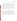#### **4.4 Immunoassay Test Kits**

Each vendor will provide immunoassay test kits, consumables like reagents and other necessary equipment (e.g. vortexer, spectrophotometer) for the analysis of all samples. The full set of samples listed in Table 2 unless otherwise noted will be analyzed by each immunoassay test kit for each applicable contaminant. The analyses will be performed according to the vendor's recommended procedures as described in the standard written instructions or manual provided with the immunoassay test kits. Calibration and maintenance of the immunoassay test kits will be performed as specified in the written instructions or manual.

Immunoassay test kit results will be recorded manually by the technical and non-technical operator on data sheets designed specifically for this verification test. In addition to the immunoassay test kit results, the data sheets will include records of the time required for sample analysis and technical and non-technical operator observations concerning the use of the immunoassay test kit (e.g., ease of use, maintenance, etc.).

#### **4.5 Schedule**

The verification test described here will take place during approximately three weeks in January 2004 at Battelle's laboratories in West Jefferson, Ohio, and at a nearby non-laboratory location. It will be necessary for participating vendors to provide their immunoassay test kits to Battelle prior to testing so staff may become familiar with operating the immunoassay test kits before testing begins. Vendor staff are requested to provide training in operating the immunoassay test kits either in person or by teleconference. Unused immunoassay test kits and associated equipment (but not consumables) will be returned to the vendors at the completion of report writing. As appropriate, immunoassay test kits will be decontaminated by washing with an aqueous solution of bleach before being returned to the vendor.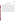## **5.0 DATA HANDLING AND REPORTING**

#### **5.1 Data Acquisition and Review**

Various types of data will be acquired and recorded electronically or manually by Battelle during this verification test. Table 4 summarizes the type of data to be recorded. All data and observations will be documented by Battelle staff on data sheets or in laboratory record books. Results from the laboratory reference instruments will be compiled in electronic format.

Records received by or generated by Battelle staff in the verification test will be reviewed by a more Battelle senior staff member within two weeks of receipt or generation, respectively, before the records are used to calculate, evaluate, or report verification results. This review will be performed by a Battelle technical staff member involved in the verification test, but not the staff member that originally received or generated the record. The review will be documented by the person performing the review by adding his/her initials and date to a hard copy of the record being reviewed. This hard copy will then be returned to the Battelle staff member who will be storing the record. In addition, data calculations performed by Battelle will be spot-checked by Battelle technical staff to ensure that calculations are performed correctly. Calculations to be checked include any statistical calculations described in this test/QA plan. The data obtained from this verification test will be compiled and reported independently for each immunoassay test kit. Results for immunoassay test kits from different vendors will not be compared with each other.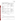| Data to Be<br><b>Recorded</b>                                                                                                             | <b>Where Recorded</b>                                                        | <b>How Often</b><br><b>Recorded</b>                             | <b>Disposition of Data</b> <sup>(a)</sup>                                                                   |
|-------------------------------------------------------------------------------------------------------------------------------------------|------------------------------------------------------------------------------|-----------------------------------------------------------------|-------------------------------------------------------------------------------------------------------------|
| Dates and times of<br>test events                                                                                                         | ETV data sheets                                                              | Start/end of test, and<br>at each change of a<br>test parameter | Used to<br>organize/check test<br>results; manually<br>incorporated in data<br>spreadsheets as<br>necessary |
| Calibration<br>information and<br>results for physico-<br>chemical<br>parameters<br>(temperature,<br>salinity, pH,<br>conductivity, etc.) | ETV data sheets                                                              | Prior to sample<br>preparation                                  | Manually incorporated<br>in data spreadsheets as<br>necessary                                               |
| Sample collection<br>and preparation<br>information,<br>including chain-of-<br>custody                                                    | ETV data sheets<br>and chain-of-<br>custody forms                            | At time of sample<br>collection and<br>preparation              | Used to<br>organize/check test<br>results; manually<br>incorporated in data<br>spreadsheets as<br>necessary |
| Immunoassay test<br>kit procedures and<br>sample results                                                                                  | ETV data sheets                                                              | Throughout test<br>duration                                     | Manually incorporated<br>in data spreadsheets                                                               |
| Reference method<br>procedures and<br>sample results                                                                                      | ETV data sheets,<br>or data acquisition<br>system, as<br>appropriate         | Throughout sample<br>analysis process                           | <b>Transferred</b> to<br>spreadsheets                                                                       |
|                                                                                                                                           | (a) All activities subsequent to data recording are carried out by Battelle. |                                                                 |                                                                                                             |
|                                                                                                                                           |                                                                              | 5.2 Data Analysis                                               |                                                                                                             |

#### **Table 4. Summary of Data Recording Process**

For immunoassay test kits that provide quantitative results, PT and DW sample accuracy will be assessed relative to the contaminant spike level. The results for each set of analyses averaged, and the accuracy will be expressed in terms of a percent recovery (R) as calculated from Equation 2:

$$
R = \overline{C} / C_R \times 100
$$
 (2)

where  $\overline{C}$  is the average concentration measured by the immunoassay test kit and  $C_R$  is the spike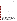level for the PT or DW sample.

For qualitative results, accuracy will be assessed by evaluating how often the immunoassay test kit result is positive in the presence of a concentration above the LOD. An overall percent agreement will be determined by dividing the number of positive responses to the overall number of analyses.

#### **5.2.2 Precision**

For immunoassay test kits that provide quantitative results, the standard deviation (S) of the results for the replicate samples will be calculated for each sample using Equation 3:

$$
S = \left[ \frac{1}{n-1} \sum_{k=1}^{n} \left( C_k - \overline{C} \right)^2 \right]^{1/2} \tag{3}
$$

where n is the number of replicate samples,  $C_k$  is the concentration measured for the  $k<sup>th</sup>$  sample, and  $\overline{C}$  is the average concentration of the replicate samples. The precision for each sample will be reported in terms of the relative standard deviation (RSD) as calculated using Equation 4:

$$
RSD = \frac{|S|}{|\overline{C}|} \times 100\tag{4}
$$

For immunoassay test kits that provide qualitative results, precision will be assessed by calculating the percentage of consistent responses.

#### **5.2.3 Linearity**

For immunoassay test kits that provide quantitative results, linearity will be assessed by performing a linear regression with the spiked contaminant concentration as the independent variable, and the individual immunoassay test kit result as the dependent variable. Individual replicate results for the four PT samples for each contaminant will be used in the linear regression. Linearity will be expressed in terms of the slope, intercept, and correlation coefficient (r). Linearity will not be determined for qualitative immunoassay test kits.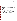#### **5.2.4 Method Detection Limit**

The MDL for each quantitative immunoassay test kit will be assessed using results from seven replicate analyses of a sample spiked at a level of approximately five times the vendorstated immunoassay test kit detection limit. The standard deviation of the seven replicate samples will be calculated using Equation 3. The MDL will be calculated using Equation 5:

$$
MDL = t \times S \tag{5}
$$

where t is the Student's t value for a 99% confidence level and S is the standard deviation of the seven replicate samples. An MDL will not be determined for qualitative immunoassay test kits, but the lowest concentration PT sample to consistently exhibit positive results will be evaluated and reported.

#### **5.2.5 Cross Reactivity**

Cross reactivity of the immunoassay test kits to the biological agent analogues will be assessed by evaluating the results for samples that contain only the analogues, but not the biological agents themselves. The percent of samples that indicate a positive response for the biological agent when only the analogue is present will be reported. Cross reactivity will be determined for qualitative and quantitative test kits that detect biological agents.

#### **5.2.6 Matrix Interferences**

The potential effect of the DW matrix on the immunoassay test kit performance will be evaluated qualitatively by comparing the results for the spiked and unspiked DW samples to those for the PT samples. For the quantitative tests, the accuracy and precision of the results will be compared. For the qualitative tests, the results indicating the correct or incorrect reporting of the presence of a contaminant will be evaluated.

#### **5.2.7 False Positive/False Negative Responses**

For both quantitative and qualitative immunoassay test kits, a false positive response is defined as a detectable or positive immunoassay test kit response when the ASTM DI water or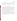drinking water sample is spiked with a potential interferent or cross reactive compound or not spiked at all. A false negative response is defined as a non-detectable response or negative response when the sample was spiked with a contaminant at a concentration greater than the LOD. Reagent blanks, PT (contaminant, interferent, and cross-reactivity) samples, and DW samples will be included in the analysis.

#### **5.3 Reporting**

The data obtained in the verification test will be compiled separately for each immunoassay test kit, and the data evaluation methods described in Section 5.2 will be applied to each data set without comparison to any other immunoassay test kit. At no time will data for immunoassay test kits from different vendors be intercompared or ranked. Following completion of the data evaluation, a draft verification report will be prepared for each immunoassay test kit. The verification report will describe the verification test procedures and document the results. Each draft verification report will be submitted to the corresponding vendor for review and comment. Each draft report will be revised in response to the comments provided by the vendor. The revised reports will be submitted for external peer review, revised again to address the peer review comments, and submitted to EPA for final approval.

A verification statement will also be prepared for each immunoassay test kit. The verification statement is a two- to four page summary of the immunoassay test kit, test procedures, and results. The verification statement will follow the same review and revision process as the verification reports. Upon final approval by EPA, each verification statement will be signed by a senior Battelle manager and an EPA laboratory director. Final verification reports and statements are expected to be posted on the ETV website (http://www.epa.gov/etv), and original signed verification statements will be provided to the vendor.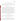#### **6.0 QUALITY ASSURANCE /QUALITY CONTROL**

The QA/QC activities associated with this verification test will focus primarily on sample preparation and handling, data recording and analysis, and reference laboratory analysis. An independent audit covering each of these areas will be performed by the Battelle Quality Manager to ensure the quality of the verification test.

#### **6.1 Sample Chain-of-Custody Procedures**

Sample custody will be documented throughout collection, shipping, and analysis of the samples from the water utility to Battelle laboratories. Similar documentation will be recorded for shipping and analysis of samples to the subcontract laboratories. Sample chain-of-custody procedures will be in accordance with the Battelle SOP D/F ASAT II-007<sup>12</sup>, *Sample Receipt*, *Custody, and Handling.* The chain-of-custody form summarizes the samples collected and analyses requested. The chain-of-custody form will track sample release from the field to the Battelle laboratory, and from the Battelle laboratory to the subcontract laboratory. Each chain-ofcustody form will be signed by the person relinquishing samples once that person has verified that the chain-of-custody form is accurate. The original sample chain-of-custody forms accompany the samples; the shipper will keep a copy. Upon receipt at the sample destination, chain-ofcustody forms will be signed by the person receiving the samples once that person has verified that all samples identified on the chain-of-custody forms are present in the shipping container. Any discrepancies will be noted on the form and the sample receiver will immediately contact the Verification Test Coordinator to report missing, broken, or compromised samples.

#### **6.2 Test Kit Calibration**

Prior to analysis, the verification test coordinator will identify test kits that require calibration. All test kits will be calibrated according to vendor directed procedures. Other equipment provided by the vendor will be calibrated based on vendor requirements.

#### **6.3 Equipment Calibration**

For physio-chemical characterization and confirmation of interferences, analytical equipment will be calibrated by the subcontract laboratory according to the procedure specified in the standard method. Pipettes will be calibrated according to the procedure outlined in Battelle SOP No: VI-025<sup>13</sup>. Pipettes will be calibrated semiannually and the calibration service will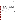provide a calibration certificate.

#### **6.4 QC of Stock Solutions Preparation and DW Characterization**

In lieu of analytical methods for ricin and botulinum toxin, Battelle QA staff will provide oversight of the stock solution preparation for these contaminants. The concentration of the stock solutions of anthrax and their corresponding analogues will be confirmed by the plate enumeration method; additionally, each DW sample will undergo analysis by this method to confirm the absence of these bacteria. Method blanks and control spikes will be analyzed by the subcontract laboratory performing confirmation analysis on the calcium, magnesium, and humic and fulvic acid samples. Method blanks and control spikes will be analyzed with every batch of samples processed. Method blank and control spikes of interferences will be analyzed in accordance with standard methods and QC limits specified therein.

#### **6.5 Audits**

#### **6.5.1 Technical Systems Audit**

The Battelle Quality Manager will conduct a technical systems audit at least once during the course of the verification test. The purpose of this audit is to ensure that the verification test is being performed in accordance with this test/QA plan and the AMS  $QMP<sup>1</sup>$ , and that all procedures described in this test/QA plan are being followed. This audit will review the standards and methods used, compare actual test procedures to those specified in this test/QA plan, and review data acquisition and handling procedures. An independent technical systems audit may also be performed by EPA Quality Management staff during the verification test at EPA's discretion.

Before using an outside laboratory to perform stock solution confirmation analyses, the Battelle Quality Manager will conduct an audit of the laboratory's quality documents. If there are areas of concern with the quality documents, the commercial laboratory will be notified, and if they are willing to adapt their procedures, the laboratory will still be used. If not, another laboratory will be selected.

#### **6.5.2 Data Quality Audit**

At least 10% percent of the data acquired during the verification test will be audited during the verification test. Battelle's Quality Manager will trace the data from its initial acquisition,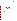through reduction and statistical analysis, to final reporting, to ensure the integrity of the reported results. All calculations performed on the data undergoing the audit will be checked.

## **6.6 QA/QC Reporting**

Each assessment and audit will be documented in accordance with Section 3.3.4 of the AMS QMP<sup>1</sup>. The results of the technical systems audit will be submitted to EPA. Assessment reports will include the following:

- Identification of any adverse findings or potential problems
- Response to adverse findings or potential problems
- Recommendations for resolving problems
- Confirmation that solutions have been implemented and are effective
- Citation of any noteworthy practices that may be of use to others.

## **6.7 Corrective Action**

During the course of any assessment or audit, the Battelle Quality Manager will inform the technical staff of any immediate corrective action that should be taken. If serious quality problems exist, the Battelle Quality Manager is authorized to stop work. Once the assessment report has been prepared, the verification test coordinator will ensure that a response is provided for each adverse finding or potential problem, and will implement any necessary follow-up corrective action. The Battelle Quality Manager will ensure that follow-up corrective action has been taken.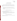# **7.0 HEALTH AND SAFETY**

# **7.1 Standard/Test Sample Preparation**

All handling of solid and highly concentrated aqueous solutions of contaminants and possible interferences will be done inside of a laboratory hood with hood sash set to the lowest height that still allows for safe manipulation of materials. The following guidelines should be adhered to:

- Personal protective equipment shall include safety glasses with side shields, a laboratory coat and nitrile lab gloves. Gloves shall be immediately changed if they become contaminated.
- All contaminated waste shall be handled as hazardous waste and sent out through Battelle Waste Operations.

# **7.2 Handling During Verification Testing**

Laboratory and field handling of any solutions used during the verification test will be accomplished by taking the following precautions:

- • All containers shall be stored and transported in double containment.
- Safety goggles, nitrile gloves with long cuffs, and a chemical resistant disposable lab coat shall be worn when handling either chemical. Gloves shall be immediately changed if they become contaminated.

# **7.3 Testing of Ricin, Botulinum, and Anthrax**

Verification of the these contaminants will be done following the safety procedures required at the MREF facility as noted in Section 3.3.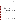# **8.0 REFERENCES**

- 1. Quality Management Plan (QMP) for the ETV Advanced Monitoring Systems Center, Version 4.0. EPA Environmental Technology Verification Program, prepared by Battelle, Columbus, Ohio, December, 2002.
- 2. Environmental Technology Verification Program Quality Management Plan, December 2002 (EPA/600/R-03/021).
- 3. Secondary Drinking Water Regulations: Guidance for Nuisance Chemicals, U.S. EPA Document, EPA-810-K-92-001, July 1992.
- 4. Battelle MREF X-054. Enumeration of BL-2 and BL-3 Bacterial Samples via the Spread Plate Technique. July 2003.
- 5. Code of Federal Regulations, Title 32, Chapter 5, Part 626, Biological Defense Safety Program, Technical Safety Requirements and Part 627, Biological Defense Safety Program, Technical Safety Requirements.
- 6. EPA Method 180.1. Turbidity (Nephelometric), Methods for the Determination of Inorganic Substances in Environmental Samples EPA-600-R-93-100. 1993.
- 7. American Public Health Association, et al. Standard Methods for Examination of Water and Wastewater. 19<sup>th</sup> Edition. 1997. Washington D.C.
- 8. EPA 600/4-79-020. Methods for Chemical Analysis of Water and Wastes. March 1983.
- 9. EPA/600/R-95-131. EPA Method 524.2. Purgeable Organic Compounds by Capillary Column GC/Mass Spectrometry. Methods for Determination of Organic Compounds in Drinking Water, Supplement III. August 1995.
- 10. EPA/600/R/R-95-131. EPA Method 552.2. Haloacetic Acids and Dalapon by Liquid-Liquid Extraction, Derivatization and GC with Electron Capture Detector. Methods for the Determination of Organic Compounds in Drinking Water, Supplement III. August 1995.